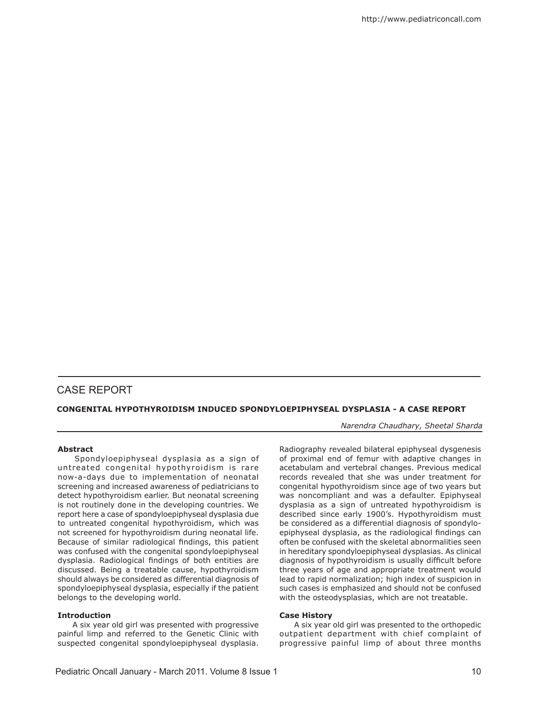# case report

## **CONGENITAL HYPOTHYROIDISM INDUCED SPONDYLOEPIPHYSEAL DYSPLASIA - A CASE REPORT**

*Narendra Chaudhary, Sheetal Sharda* 

## **Abstract**

 Spondyloepiphyseal dysplasia as a sign of untreated congenital hypothyroidism is rare now-a-days due to implementation of neonatal screening and increased awareness of pediatricians to detect hypothyroidism earlier. But neonatal screening is not routinely done in the developing countries. We report here a case of spondyloepiphyseal dysplasia due to untreated congenital hypothyroidism, which was not screened for hypothyroidism during neonatal life. Because of similar radiological findings, this patient was confused with the congenital spondyloepiphyseal dysplasia. Radiological findings of both entities are discussed. Being a treatable cause, hypothyroidism should always be considered as differential diagnosis of spondyloepiphyseal dysplasia, especially if the patient belongs to the developing world.

## **Introduction**

 A six year old girl was presented with progressive painful limp and referred to the Genetic Clinic with suspected congenital spondyloepiphyseal dysplasia. Radiography revealed bilateral epiphyseal dysgenesis of proximal end of femur with adaptive changes in acetabulam and vertebral changes. Previous medical records revealed that she was under treatment for congenital hypothyroidism since age of two years but was noncompliant and was a defaulter. Epiphyseal dysplasia as a sign of untreated hypothyroidism is described since early 1900's. Hypothyroidism must be considered as a differential diagnosis of spondyloepiphyseal dysplasia, as the radiological findings can often be confused with the skeletal abnormalities seen in hereditary spondyloepiphyseal dysplasias. As clinical diagnosis of hypothyroidism is usually difficult before three years of age and appropriate treatment would lead to rapid normalization; high index of suspicion in such cases is emphasized and should not be confused with the osteodysplasias, which are not treatable.

#### **Case History**

 A six year old girl was presented to the orthopedic outpatient department with chief complaint of progressive painful limp of about three months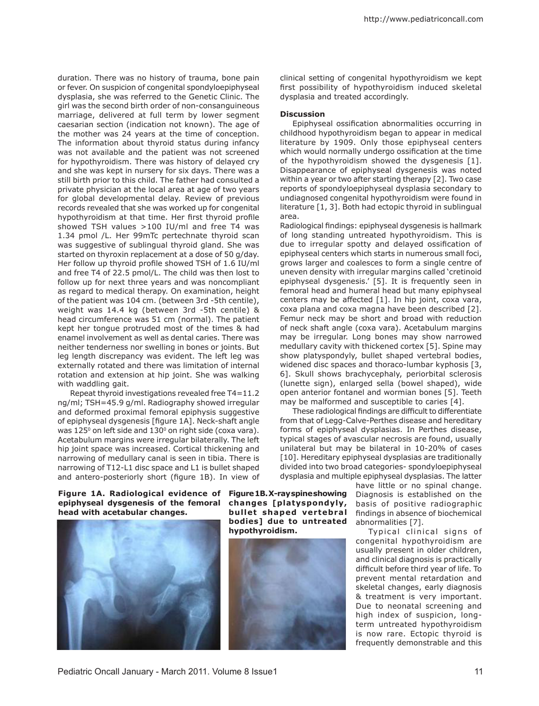duration. There was no history of trauma, bone pain or fever. On suspicion of congenital spondyloepiphyseal dysplasia, she was referred to the Genetic Clinic. The girl was the second birth order of non-consanguineous marriage, delivered at full term by lower segment caesarian section (indication not known). The age of the mother was 24 years at the time of conception. The information about thyroid status during infancy was not available and the patient was not screened for hypothyroidism. There was history of delayed cry and she was kept in nursery for six days. There was a still birth prior to this child. The father had consulted a private physician at the local area at age of two years for global developmental delay. Review of previous records revealed that she was worked up for congenital hypothyroidism at that time. Her first thyroid profile showed TSH values >100 IU/ml and free T4 was 1.34 pmol /L. Her 99mTc pertechnate thyroid scan was suggestive of sublingual thyroid gland. She was started on thyroxin replacement at a dose of 50 g/day. Her follow up thyroid profile showed TSH of 1.6 IU/ml and free T4 of 22.5 pmol/L. The child was then lost to follow up for next three years and was noncompliant as regard to medical therapy. On examination, height of the patient was 104 cm. (between 3rd -5th centile), weight was 14.4 kg (between 3rd -5th centile) & head circumference was 51 cm (normal). The patient kept her tongue protruded most of the times & had enamel involvement as well as dental caries. There was neither tenderness nor swelling in bones or joints. But leg length discrepancy was evident. The left leg was externally rotated and there was limitation of internal rotation and extension at hip joint. She was walking with waddling gait.

Repeat thyroid investigations revealed free T4=11.2 ng/ml; TSH=45.9 g/ml. Radiography showed irregular and deformed proximal femoral epiphysis suggestive of epiphyseal dysgenesis [figure 1A]. Neck-shaft angle was  $125^{\circ}$  on left side and  $130^{\circ}$  on right side (coxa vara). Acetabulum margins were irregular bilaterally. The left hip joint space was increased. Cortical thickening and narrowing of medullary canal is seen in tibia. There is narrowing of T12-L1 disc space and L1 is bullet shaped and antero-posteriorly short (figure 1B). In view of clinical setting of congenital hypothyroidism we kept first possibility of hypothyroidism induced skeletal dysplasia and treated accordingly.

#### **Discussion**

Epiphyseal ossification abnormalities occurring in childhood hypothyroidism began to appear in medical literature by 1909. Only those epiphyseal centers which would normally undergo ossification at the time of the hypothyroidism showed the dysgenesis [1]. Disappearance of epiphyseal dysgenesis was noted within a year or two after starting therapy [2]. Two case reports of spondyloepiphyseal dysplasia secondary to undiagnosed congenital hypothyroidism were found in literature [1, 3]. Both had ectopic thyroid in sublingual area.

Radiological findings: epiphyseal dysgenesis is hallmark of long standing untreated hypothyroidism. This is due to irregular spotty and delayed ossification of epiphyseal centers which starts in numerous small foci, grows larger and coalesces to form a single centre of uneven density with irregular margins called 'cretinoid epiphyseal dysgenesis.' [5]. It is frequently seen in femoral head and humeral head but many epiphyseal centers may be affected [1]. In hip joint, coxa vara, coxa plana and coxa magna have been described [2]. Femur neck may be short and broad with reduction of neck shaft angle (coxa vara). Acetabulum margins may be irregular. Long bones may show narrowed medullary cavity with thickened cortex [5]. Spine may show platyspondyly, bullet shaped vertebral bodies, widened disc spaces and thoraco-lumbar kyphosis [3, 6]. Skull shows brachycephaly, periorbital sclerosis (lunette sign), enlarged sella (bowel shaped), wide open anterior fontanel and wormian bones [5]. Teeth may be malformed and susceptible to caries [4].

These radiological findings are difficult to differentiate from that of Legg-Calve-Perthes disease and hereditary forms of epiphyseal dysplasias. In Perthes disease, typical stages of avascular necrosis are found, usually unilateral but may be bilateral in 10-20% of cases [10]. Hereditary epiphyseal dysplasias are traditionally divided into two broad categories- spondyloepiphyseal dysplasia and multiple epiphyseal dysplasias. The latter

**Figure 1A. Radiological evidence of Figure 1B. X-ray spine showing epiphyseal dysgenesis of the femoral head with acetabular changes.**



**changes [platyspondyly, bullet shaped vertebral bodies] due to untreated hypothyroidism.**



have little or no spinal change. Diagnosis is established on the basis of positive radiographic findings in absence of biochemical abnormalities [7].

Typical clinical signs of congenital hypothyroidism are usually present in older children, and clinical diagnosis is practically difficult before third year of life. To prevent mental retardation and skeletal changes, early diagnosis & treatment is very important. Due to neonatal screening and high index of suspicion, longterm untreated hypothyroidism is now rare. Ectopic thyroid is frequently demonstrable and this